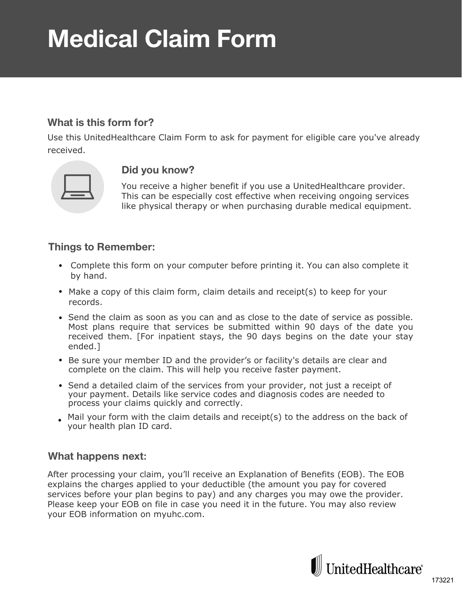# **Medical Claim Form**

# **What is this form for?**

Use this UnitedHealthcare Claim Form to ask for payment for eligible care you've already received.



#### **Did you know?**

You receive a higher benefit if you use a UnitedHealthcare provider. This can be especially cost effective when receiving ongoing services like physical therapy or when purchasing durable medical equipment.

## **Things to Remember:**

- Complete this form on your computer before printing it. You can also complete it by hand.
- Make a copy of this claim form, claim details and receipt(s) to keep for your records.
- Send the claim as soon as you can and as close to the date of service as possible. Most plans require that services be submitted within 90 days of the date you received them. [For inpatient stays, the 90 days begins on the date your stay ended.]
- Be sure your member ID and the provider's or facility's details are clear and complete on the claim. This will help you receive faster payment.
- Send a detailed claim of the services from your provider, not just a receipt of your payment. Details like service codes and diagnosis codes are needed to process your claims quickly and correctly.
- Mail your form with the claim details and receipt(s) to the address on the back of your health plan ID card.

## **What happens next:**

After processing your claim, you'll receive an Explanation of Benefits (EOB). The EOB explains the charges applied to your deductible (the amount you pay for covered services before your plan begins to pay) and any charges you may owe the provider. Please keep your EOB on file in case you need it in the future. You may also review your EOB information on myuhc.com.